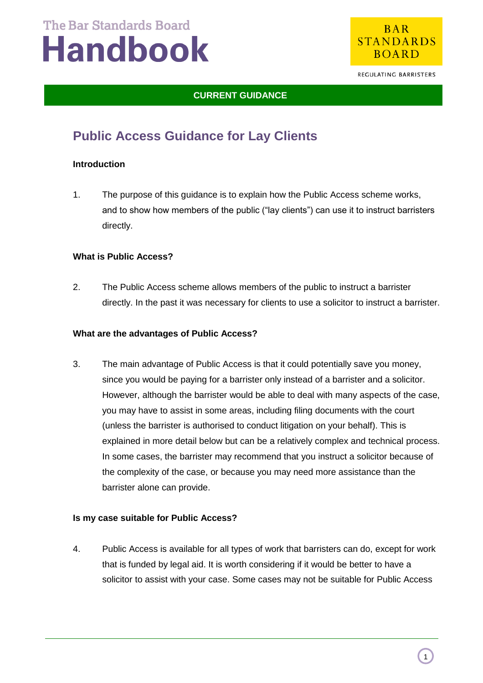

REGULATING BARRISTERS

### **CURRENT GUIDANCE**

### **Public Access Guidance for Lay Clients**

#### **Introduction**

1. The purpose of this guidance is to explain how the Public Access scheme works, and to show how members of the public ("lay clients") can use it to instruct barristers directly.

#### **What is Public Access?**

2. The Public Access scheme allows members of the public to instruct a barrister directly. In the past it was necessary for clients to use a solicitor to instruct a barrister.

#### **What are the advantages of Public Access?**

3. The main advantage of Public Access is that it could potentially save you money, since you would be paying for a barrister only instead of a barrister and a solicitor. However, although the barrister would be able to deal with many aspects of the case, you may have to assist in some areas, including filing documents with the court (unless the barrister is authorised to conduct litigation on your behalf). This is explained in more detail below but can be a relatively complex and technical process. In some cases, the barrister may recommend that you instruct a solicitor because of the complexity of the case, or because you may need more assistance than the barrister alone can provide.

#### **Is my case suitable for Public Access?**

4. Public Access is available for all types of work that barristers can do, except for work that is funded by legal aid. It is worth considering if it would be better to have a solicitor to assist with your case. Some cases may not be suitable for Public Access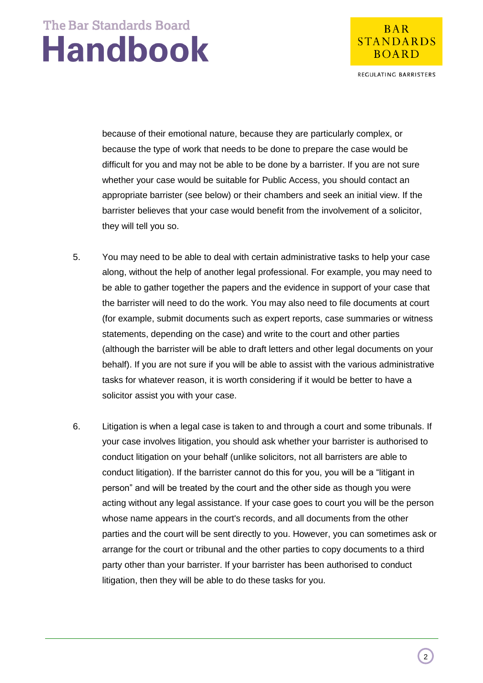

REGULATING BARRISTERS

because of their emotional nature, because they are particularly complex, or because the type of work that needs to be done to prepare the case would be difficult for you and may not be able to be done by a barrister. If you are not sure whether your case would be suitable for Public Access, you should contact an appropriate barrister (see below) or their chambers and seek an initial view. If the barrister believes that your case would benefit from the involvement of a solicitor, they will tell you so.

- 5. You may need to be able to deal with certain administrative tasks to help your case along, without the help of another legal professional. For example, you may need to be able to gather together the papers and the evidence in support of your case that the barrister will need to do the work. You may also need to file documents at court (for example, submit documents such as expert reports, case summaries or witness statements, depending on the case) and write to the court and other parties (although the barrister will be able to draft letters and other legal documents on your behalf). If you are not sure if you will be able to assist with the various administrative tasks for whatever reason, it is worth considering if it would be better to have a solicitor assist you with your case.
- 6. Litigation is when a legal case is taken to and through a court and some tribunals. If your case involves litigation, you should ask whether your barrister is authorised to conduct litigation on your behalf (unlike solicitors, not all barristers are able to conduct litigation). If the barrister cannot do this for you, you will be a "litigant in person" and will be treated by the court and the other side as though you were acting without any legal assistance. If your case goes to court you will be the person whose name appears in the court's records, and all documents from the other parties and the court will be sent directly to you. However, you can sometimes ask or arrange for the court or tribunal and the other parties to copy documents to a third party other than your barrister. If your barrister has been authorised to conduct litigation, then they will be able to do these tasks for you.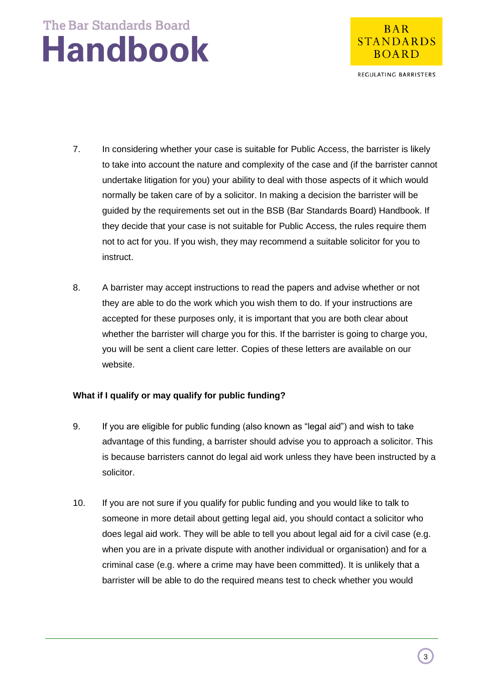

REGULATING BARRISTERS

- 7. In considering whether your case is suitable for Public Access, the barrister is likely to take into account the nature and complexity of the case and (if the barrister cannot undertake litigation for you) your ability to deal with those aspects of it which would normally be taken care of by a solicitor. In making a decision the barrister will be guided by the requirements set out in the BSB (Bar Standards Board) Handbook. If they decide that your case is not suitable for Public Access, the rules require them not to act for you. If you wish, they may recommend a suitable solicitor for you to instruct.
- 8. A barrister may accept instructions to read the papers and advise whether or not they are able to do the work which you wish them to do. If your instructions are accepted for these purposes only, it is important that you are both clear about whether the barrister will charge you for this. If the barrister is going to charge you, you will be sent a client care letter. Copies of these letters are available on our website.

#### **What if I qualify or may qualify for public funding?**

- 9. If you are eligible for public funding (also known as "legal aid") and wish to take advantage of this funding, a barrister should advise you to approach a solicitor. This is because barristers cannot do legal aid work unless they have been instructed by a solicitor.
- 10. If you are not sure if you qualify for public funding and you would like to talk to someone in more detail about getting legal aid, you should contact a solicitor who does legal aid work. They will be able to tell you about legal aid for a civil case (e.g. when you are in a private dispute with another individual or organisation) and for a criminal case (e.g. where a crime may have been committed). It is unlikely that a barrister will be able to do the required means test to check whether you would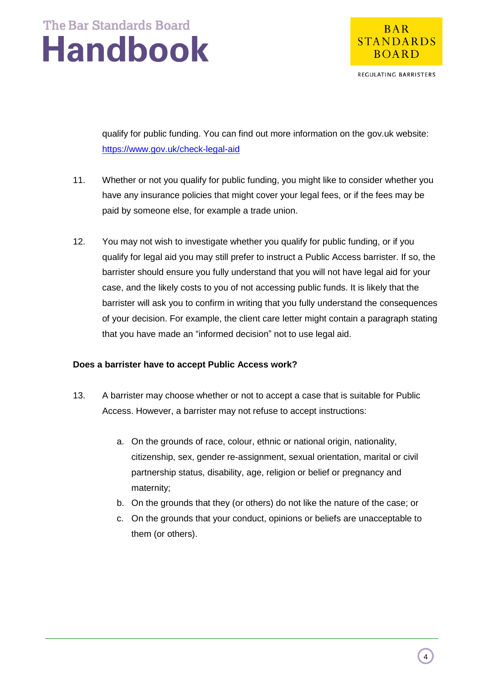

REGULATING BARRISTERS

qualify for public funding. You can find out more information on the gov.uk website: <https://www.gov.uk/check-legal-aid>

- 11. Whether or not you qualify for public funding, you might like to consider whether you have any insurance policies that might cover your legal fees, or if the fees may be paid by someone else, for example a trade union.
- 12. You may not wish to investigate whether you qualify for public funding, or if you qualify for legal aid you may still prefer to instruct a Public Access barrister. If so, the barrister should ensure you fully understand that you will not have legal aid for your case, and the likely costs to you of not accessing public funds. It is likely that the barrister will ask you to confirm in writing that you fully understand the consequences of your decision. For example, the client care letter might contain a paragraph stating that you have made an "informed decision" not to use legal aid.

#### **Does a barrister have to accept Public Access work?**

- 13. A barrister may choose whether or not to accept a case that is suitable for Public Access. However, a barrister may not refuse to accept instructions:
	- a. On the grounds of race, colour, ethnic or national origin, nationality, citizenship, sex, gender re-assignment, sexual orientation, marital or civil partnership status, disability, age, religion or belief or pregnancy and maternity;
	- b. On the grounds that they (or others) do not like the nature of the case; or
	- c. On the grounds that your conduct, opinions or beliefs are unacceptable to them (or others).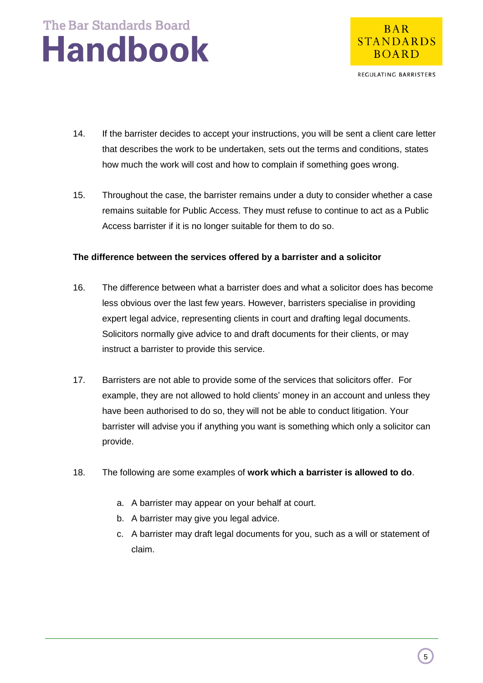

REGULATING BARRISTERS

- 14. If the barrister decides to accept your instructions, you will be sent a client care letter that describes the work to be undertaken, sets out the terms and conditions, states how much the work will cost and how to complain if something goes wrong.
- 15. Throughout the case, the barrister remains under a duty to consider whether a case remains suitable for Public Access. They must refuse to continue to act as a Public Access barrister if it is no longer suitable for them to do so.

#### **The difference between the services offered by a barrister and a solicitor**

- 16. The difference between what a barrister does and what a solicitor does has become less obvious over the last few years. However, barristers specialise in providing expert legal advice, representing clients in court and drafting legal documents. Solicitors normally give advice to and draft documents for their clients, or may instruct a barrister to provide this service.
- 17. Barristers are not able to provide some of the services that solicitors offer. For example, they are not allowed to hold clients' money in an account and unless they have been authorised to do so, they will not be able to conduct litigation. Your barrister will advise you if anything you want is something which only a solicitor can provide.
- 18. The following are some examples of **work which a barrister is allowed to do**.
	- a. A barrister may appear on your behalf at court.
	- b. A barrister may give you legal advice.
	- c. A barrister may draft legal documents for you, such as a will or statement of claim.

5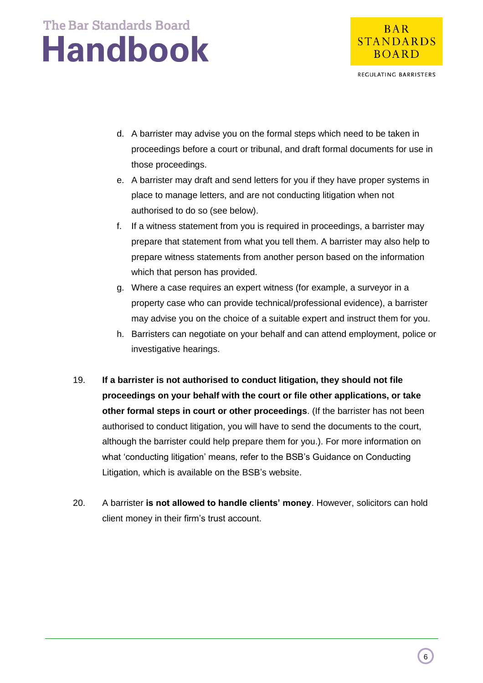

REGULATING BARRISTERS

- d. A barrister may advise you on the formal steps which need to be taken in proceedings before a court or tribunal, and draft formal documents for use in those proceedings.
- e. A barrister may draft and send letters for you if they have proper systems in place to manage letters, and are not conducting litigation when not authorised to do so (see below).
- f. If a witness statement from you is required in proceedings, a barrister may prepare that statement from what you tell them. A barrister may also help to prepare witness statements from another person based on the information which that person has provided.
- g. Where a case requires an expert witness (for example, a surveyor in a property case who can provide technical/professional evidence), a barrister may advise you on the choice of a suitable expert and instruct them for you.
- h. Barristers can negotiate on your behalf and can attend employment, police or investigative hearings.
- 19. **If a barrister is not authorised to conduct litigation, they should not file proceedings on your behalf with the court or file other applications, or take other formal steps in court or other proceedings**. (If the barrister has not been authorised to conduct litigation, you will have to send the documents to the court, although the barrister could help prepare them for you.). For more information on what 'conducting litigation' means, refer to the BSB's Guidance on Conducting Litigation, which is available on the BSB's website.
- 20. A barrister **is not allowed to handle clients' money**. However, solicitors can hold client money in their firm's trust account.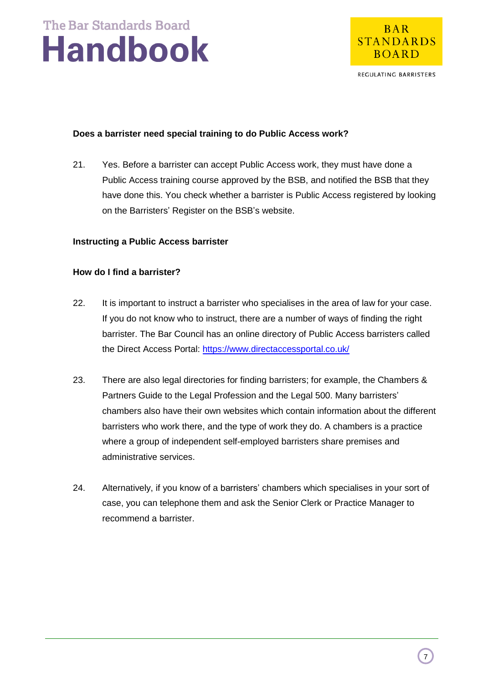

REGULATING BARRISTERS

#### **Does a barrister need special training to do Public Access work?**

21. Yes. Before a barrister can accept Public Access work, they must have done a Public Access training course approved by the BSB, and notified the BSB that they have done this. You check whether a barrister is Public Access registered by looking on the Barristers' Register on the BSB's website.

#### **Instructing a Public Access barrister**

#### **How do I find a barrister?**

- 22. It is important to instruct a barrister who specialises in the area of law for your case. If you do not know who to instruct, there are a number of ways of finding the right barrister. The Bar Council has an online directory of Public Access barristers called the Direct Access Portal:<https://www.directaccessportal.co.uk/>
- 23. There are also legal directories for finding barristers; for example, the Chambers & Partners Guide to the Legal Profession and the Legal 500. Many barristers' chambers also have their own websites which contain information about the different barristers who work there, and the type of work they do. A chambers is a practice where a group of independent self-employed barristers share premises and administrative services.
- 24. Alternatively, if you know of a barristers' chambers which specialises in your sort of case, you can telephone them and ask the Senior Clerk or Practice Manager to recommend a barrister.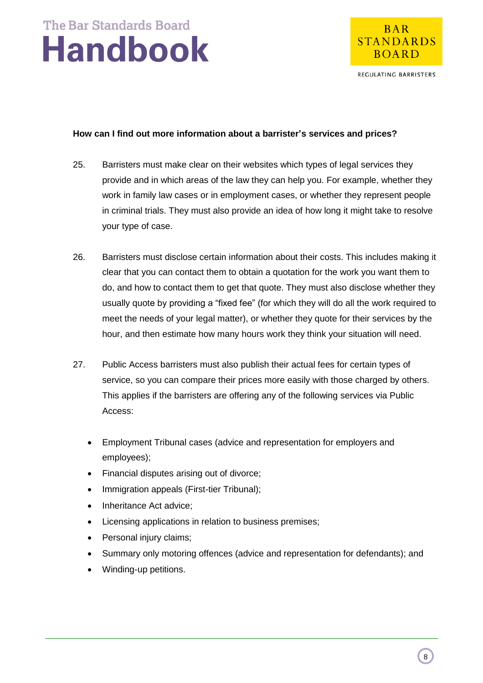

REGULATING BARRISTERS

#### **How can I find out more information about a barrister's services and prices?**

- 25. Barristers must make clear on their websites which types of legal services they provide and in which areas of the law they can help you. For example, whether they work in family law cases or in employment cases, or whether they represent people in criminal trials. They must also provide an idea of how long it might take to resolve your type of case.
- 26. Barristers must disclose certain information about their costs. This includes making it clear that you can contact them to obtain a quotation for the work you want them to do, and how to contact them to get that quote. They must also disclose whether they usually quote by providing a "fixed fee" (for which they will do all the work required to meet the needs of your legal matter), or whether they quote for their services by the hour, and then estimate how many hours work they think your situation will need.
- 27. Public Access barristers must also publish their actual fees for certain types of service, so you can compare their prices more easily with those charged by others. This applies if the barristers are offering any of the following services via Public Access:
	- Employment Tribunal cases (advice and representation for employers and employees);
	- Financial disputes arising out of divorce;
	- Immigration appeals (First-tier Tribunal);
	- Inheritance Act advice;
	- Licensing applications in relation to business premises;
	- Personal injury claims;
	- Summary only motoring offences (advice and representation for defendants); and
	- Winding-up petitions.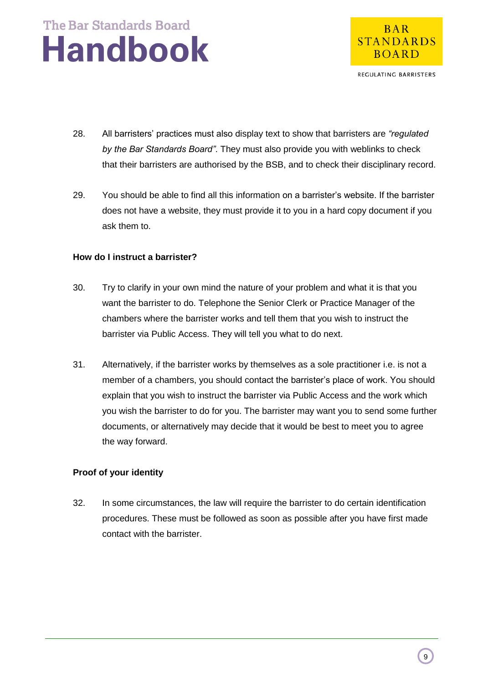

REGULATING BARRISTERS

- 28. All barristers' practices must also display text to show that barristers are *"regulated by the Bar Standards Board"*. They must also provide you with weblinks to check that their barristers are authorised by the BSB, and to check their disciplinary record.
- 29. You should be able to find all this information on a barrister's website. If the barrister does not have a website, they must provide it to you in a hard copy document if you ask them to.

#### **How do I instruct a barrister?**

- 30. Try to clarify in your own mind the nature of your problem and what it is that you want the barrister to do. Telephone the Senior Clerk or Practice Manager of the chambers where the barrister works and tell them that you wish to instruct the barrister via Public Access. They will tell you what to do next.
- 31. Alternatively, if the barrister works by themselves as a sole practitioner i.e. is not a member of a chambers, you should contact the barrister's place of work. You should explain that you wish to instruct the barrister via Public Access and the work which you wish the barrister to do for you. The barrister may want you to send some further documents, or alternatively may decide that it would be best to meet you to agree the way forward.

#### **Proof of your identity**

32. In some circumstances, the law will require the barrister to do certain identification procedures. These must be followed as soon as possible after you have first made contact with the barrister.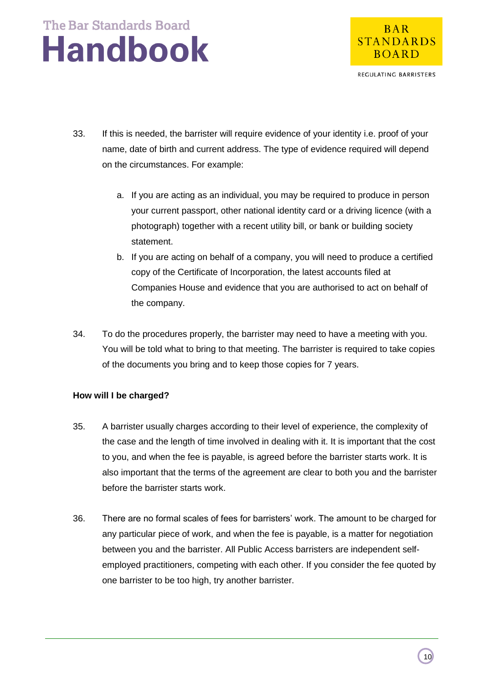

REGULATING BARRISTERS

- 33. If this is needed, the barrister will require evidence of your identity i.e. proof of your name, date of birth and current address. The type of evidence required will depend on the circumstances. For example:
	- a. If you are acting as an individual, you may be required to produce in person your current passport, other national identity card or a driving licence (with a photograph) together with a recent utility bill, or bank or building society statement.
	- b. If you are acting on behalf of a company, you will need to produce a certified copy of the Certificate of Incorporation, the latest accounts filed at Companies House and evidence that you are authorised to act on behalf of the company.
- 34. To do the procedures properly, the barrister may need to have a meeting with you. You will be told what to bring to that meeting. The barrister is required to take copies of the documents you bring and to keep those copies for 7 years.

#### **How will I be charged?**

- 35. A barrister usually charges according to their level of experience, the complexity of the case and the length of time involved in dealing with it. It is important that the cost to you, and when the fee is payable, is agreed before the barrister starts work. It is also important that the terms of the agreement are clear to both you and the barrister before the barrister starts work.
- 36. There are no formal scales of fees for barristers' work. The amount to be charged for any particular piece of work, and when the fee is payable, is a matter for negotiation between you and the barrister. All Public Access barristers are independent selfemployed practitioners, competing with each other. If you consider the fee quoted by one barrister to be too high, try another barrister.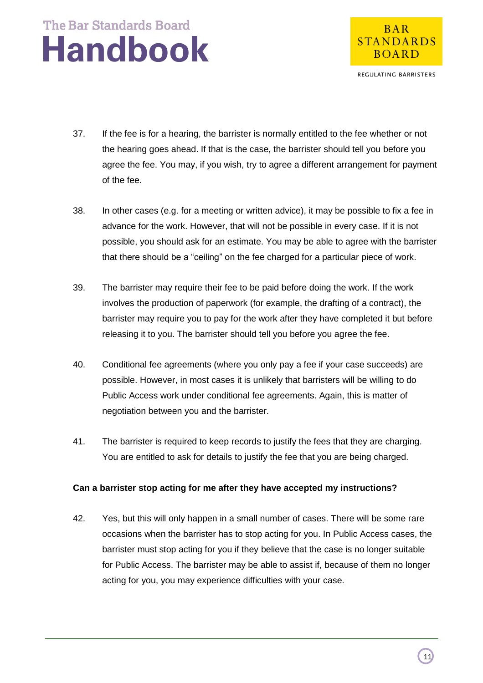

REGULATING BARRISTERS

- 37. If the fee is for a hearing, the barrister is normally entitled to the fee whether or not the hearing goes ahead. If that is the case, the barrister should tell you before you agree the fee. You may, if you wish, try to agree a different arrangement for payment of the fee.
- 38. In other cases (e.g. for a meeting or written advice), it may be possible to fix a fee in advance for the work. However, that will not be possible in every case. If it is not possible, you should ask for an estimate. You may be able to agree with the barrister that there should be a "ceiling" on the fee charged for a particular piece of work.
- 39. The barrister may require their fee to be paid before doing the work. If the work involves the production of paperwork (for example, the drafting of a contract), the barrister may require you to pay for the work after they have completed it but before releasing it to you. The barrister should tell you before you agree the fee.
- 40. Conditional fee agreements (where you only pay a fee if your case succeeds) are possible. However, in most cases it is unlikely that barristers will be willing to do Public Access work under conditional fee agreements. Again, this is matter of negotiation between you and the barrister.
- 41. The barrister is required to keep records to justify the fees that they are charging. You are entitled to ask for details to justify the fee that you are being charged.

#### **Can a barrister stop acting for me after they have accepted my instructions?**

42. Yes, but this will only happen in a small number of cases. There will be some rare occasions when the barrister has to stop acting for you. In Public Access cases, the barrister must stop acting for you if they believe that the case is no longer suitable for Public Access. The barrister may be able to assist if, because of them no longer acting for you, you may experience difficulties with your case.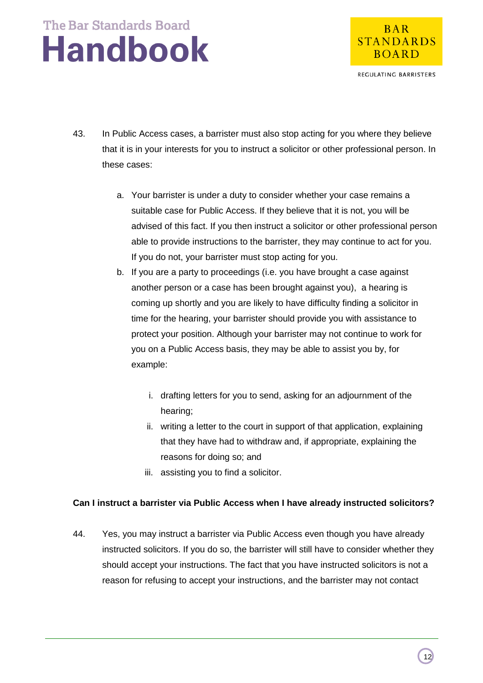

REGULATING BARRISTERS

- 43. In Public Access cases, a barrister must also stop acting for you where they believe that it is in your interests for you to instruct a solicitor or other professional person. In these cases:
	- a. Your barrister is under a duty to consider whether your case remains a suitable case for Public Access. If they believe that it is not, you will be advised of this fact. If you then instruct a solicitor or other professional person able to provide instructions to the barrister, they may continue to act for you. If you do not, your barrister must stop acting for you.
	- b. If you are a party to proceedings (i.e. you have brought a case against another person or a case has been brought against you), a hearing is coming up shortly and you are likely to have difficulty finding a solicitor in time for the hearing, your barrister should provide you with assistance to protect your position. Although your barrister may not continue to work for you on a Public Access basis, they may be able to assist you by, for example:
		- i. drafting letters for you to send, asking for an adjournment of the hearing;
		- ii. writing a letter to the court in support of that application, explaining that they have had to withdraw and, if appropriate, explaining the reasons for doing so; and
		- iii. assisting you to find a solicitor.

### **Can I instruct a barrister via Public Access when I have already instructed solicitors?**

44. Yes, you may instruct a barrister via Public Access even though you have already instructed solicitors. If you do so, the barrister will still have to consider whether they should accept your instructions. The fact that you have instructed solicitors is not a reason for refusing to accept your instructions, and the barrister may not contact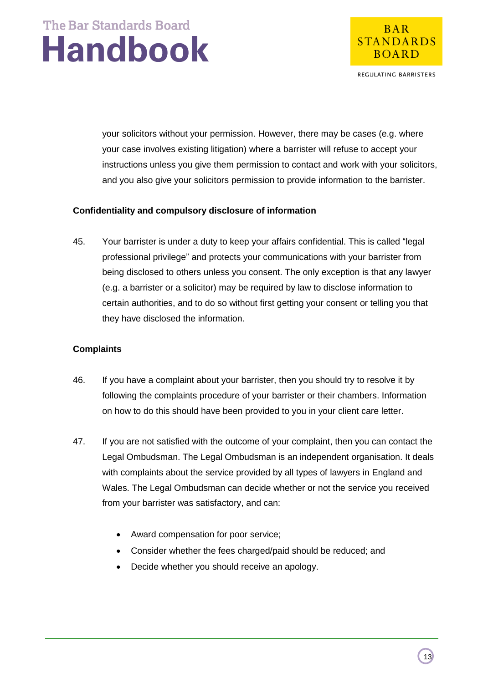

REGULATING BARRISTERS

your solicitors without your permission. However, there may be cases (e.g. where your case involves existing litigation) where a barrister will refuse to accept your instructions unless you give them permission to contact and work with your solicitors, and you also give your solicitors permission to provide information to the barrister.

#### **Confidentiality and compulsory disclosure of information**

45. Your barrister is under a duty to keep your affairs confidential. This is called "legal professional privilege" and protects your communications with your barrister from being disclosed to others unless you consent. The only exception is that any lawyer (e.g. a barrister or a solicitor) may be required by law to disclose information to certain authorities, and to do so without first getting your consent or telling you that they have disclosed the information.

#### **Complaints**

- 46. If you have a complaint about your barrister, then you should try to resolve it by following the complaints procedure of your barrister or their chambers. Information on how to do this should have been provided to you in your client care letter.
- 47. If you are not satisfied with the outcome of your complaint, then you can contact the Legal Ombudsman. The Legal Ombudsman is an independent organisation. It deals with complaints about the service provided by all types of lawyers in England and Wales. The Legal Ombudsman can decide whether or not the service you received from your barrister was satisfactory, and can:
	- Award compensation for poor service;
	- Consider whether the fees charged/paid should be reduced; and
	- Decide whether you should receive an apology.